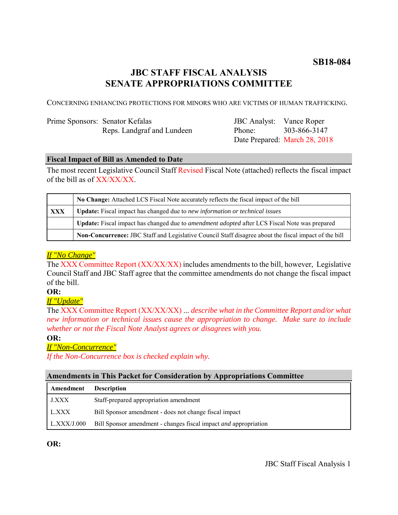# **SB18-084**

# **JBC STAFF FISCAL ANALYSIS SENATE APPROPRIATIONS COMMITTEE**

CONCERNING ENHANCING PROTECTIONS FOR MINORS WHO ARE VICTIMS OF HUMAN TRAFFICKING.

| Prime Sponsors: Senator Kefalas |                            |
|---------------------------------|----------------------------|
|                                 | Reps. Landgraf and Lundeen |

JBC Analyst: Vance Roper Phone: Date Prepared: March 28, 2018 303-866-3147

### **Fiscal Impact of Bill as Amended to Date**

The most recent Legislative Council Staff Revised Fiscal Note (attached) reflects the fiscal impact of the bill as of XX/XX/XX.

|     | No Change: Attached LCS Fiscal Note accurately reflects the fiscal impact of the bill                 |
|-----|-------------------------------------------------------------------------------------------------------|
| XXX | <b>Update:</b> Fiscal impact has changed due to new information or technical issues                   |
|     | Update: Fiscal impact has changed due to <i>amendment adopted</i> after LCS Fiscal Note was prepared  |
|     | Non-Concurrence: JBC Staff and Legislative Council Staff disagree about the fiscal impact of the bill |

# *If "No Change"*

The XXX Committee Report (XX/XX/XX) includes amendments to the bill, however, Legislative Council Staff and JBC Staff agree that the committee amendments do not change the fiscal impact of the bill.

# **OR:**

# *If "Update"*

The XXX Committee Report (XX/XX/XX) ... *describe what in the Committee Report and/or what new information or technical issues cause the appropriation to change. Make sure to include whether or not the Fiscal Note Analyst agrees or disagrees with you.*

#### **OR:**

# *If "Non-Concurrence"*

*If the Non-Concurrence box is checked explain why.* 

# **Amendments in This Packet for Consideration by Appropriations Committee**

| Amendment    | <b>Description</b>                                                      |
|--------------|-------------------------------------------------------------------------|
| <b>J.XXX</b> | Staff-prepared appropriation amendment                                  |
| L.XXX        | Bill Sponsor amendment - does not change fiscal impact                  |
| LLXXX/J.000  | Bill Sponsor amendment - changes fiscal impact <i>and</i> appropriation |

**OR:**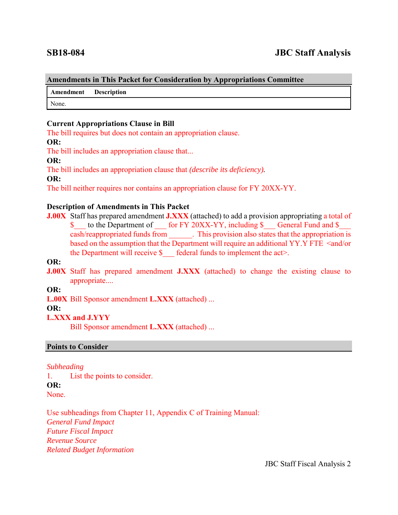#### **Amendments in This Packet for Consideration by Appropriations Committee**

**Amendment Description**

None.

## **Current Appropriations Clause in Bill**

The bill requires but does not contain an appropriation clause.

#### **OR:**

The bill includes an appropriation clause that...

#### **OR:**

The bill includes an appropriation clause that *(describe its deficiency).*

### **OR:**

The bill neither requires nor contains an appropriation clause for FY 20XX-YY.

### **Description of Amendments in This Packet**

**J.00X** Staff has prepared amendment **J.XXX** (attached) to add a provision appropriating a total of \$ to the Department of for FY 20XX-YY, including \$ General Fund and \$ cash/reappropriated funds from \_\_\_\_\_\_. This provision also states that the appropriation is based on the assumption that the Department will require an additional YY.Y FTE <and/or the Department will receive  $\S$  federal funds to implement the act>.

# **OR:**

**J.00X** Staff has prepared amendment **J.XXX** (attached) to change the existing clause to appropriate....

#### **OR:**

**L.00X** Bill Sponsor amendment **L.XXX** (attached) ...

#### **OR:**

# **L.XXX and J.YYY**

Bill Sponsor amendment **L.XXX** (attached) ...

#### **Points to Consider**

#### *Subheading*

1. List the points to consider. **OR:** None.

Use subheadings from Chapter 11, Appendix C of Training Manual: *General Fund Impact Future Fiscal Impact Revenue Source Related Budget Information*